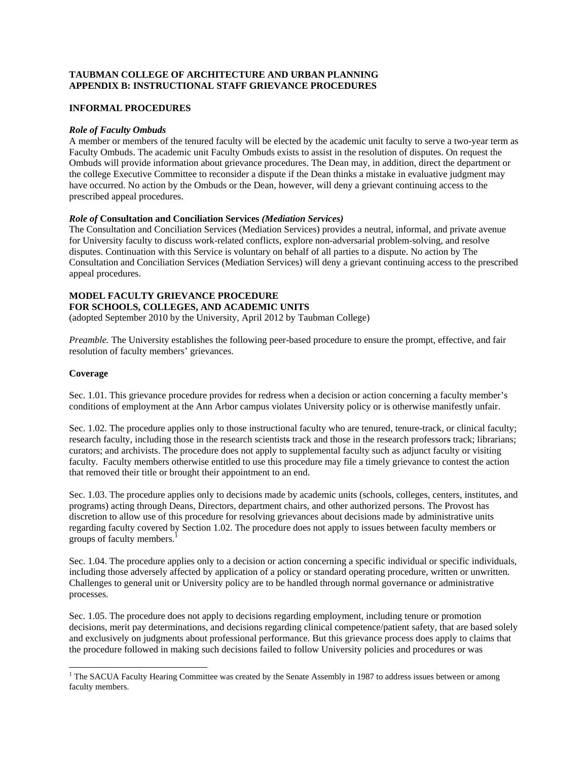# **TAUBMAN COLLEGE OF ARCHITECTURE AND URBAN PLANNING APPENDIX B: INSTRUCTIONAL STAFF GRIEVANCE PROCEDURES**

### **INFORMAL PROCEDURES**

#### *Role of Faculty Ombuds*

A member or members of the tenured faculty will be elected by the academic unit faculty to serve a two-year term as Faculty Ombuds. The academic unit Faculty Ombuds exists to assist in the resolution of disputes. On request the Ombuds will provide information about grievance procedures. The Dean may, in addition, direct the department or the college Executive Committee to reconsider a dispute if the Dean thinks a mistake in evaluative judgment may have occurred. No action by the Ombuds or the Dean, however, will deny a grievant continuing access to the prescribed appeal procedures.

#### *Role of* **Consultation and Conciliation Services** *(Mediation Services)*

The Consultation and Conciliation Services (Mediation Services) provides a neutral, informal, and private avenue for University faculty to discuss work-related conflicts, explore non-adversarial problem-solving, and resolve disputes. Continuation with this Service is voluntary on behalf of all parties to a dispute. No action by The Consultation and Conciliation Services (Mediation Services) will deny a grievant continuing access to the prescribed appeal procedures.

# **MODEL FACULTY GRIEVANCE PROCEDURE FOR SCHOOLS, COLLEGES, AND ACADEMIC UNITS**

(adopted September 2010 by the University, April 2012 by Taubman College)

*Preamble.* The University establishes the following peer-based procedure to ensure the prompt, effective, and fair resolution of faculty members' grievances.

# **Coverage**

Sec. 1.01. This grievance procedure provides for redress when a decision or action concerning a faculty member's conditions of employment at the Ann Arbor campus violates University policy or is otherwise manifestly unfair.

Sec. 1.02. The procedure applies only to those instructional faculty who are tenured, tenure-track, or clinical faculty; research faculty, including those in the research scientists track and those in the research professors track; librarians; curators; and archivists. The procedure does not apply to supplemental faculty such as adjunct faculty or visiting faculty. Faculty members otherwise entitled to use this procedure may file a timely grievance to contest the action that removed their title or brought their appointment to an end.

Sec. 1.03. The procedure applies only to decisions made by academic units (schools, colleges, centers, institutes, and programs) acting through Deans, Directors, department chairs, and other authorized persons. The Provost has discretion to allow use of this procedure for resolving grievances about decisions made by administrative units regarding faculty covered by Section 1.02. The procedure does not apply to issues between faculty members or groups of faculty members.<sup>1</sup>

Sec. 1.04. The procedure applies only to a decision or action concerning a specific individual or specific individuals, including those adversely affected by application of a policy or standard operating procedure, written or unwritten. Challenges to general unit or University policy are to be handled through normal governance or administrative processes.

Sec. 1.05. The procedure does not apply to decisions regarding employment, including tenure or promotion decisions, merit pay determinations, and decisions regarding clinical competence/patient safety, that are based solely and exclusively on judgments about professional performance. But this grievance process does apply to claims that the procedure followed in making such decisions failed to follow University policies and procedures or was

<sup>&</sup>lt;sup>1</sup> The SACUA Faculty Hearing Committee was created by the Senate Assembly in 1987 to address issues between or among faculty members.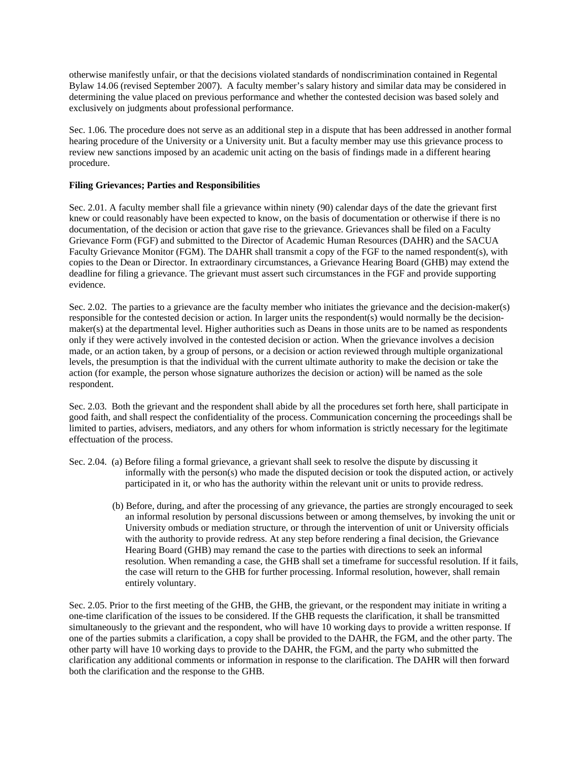otherwise manifestly unfair, or that the decisions violated standards of nondiscrimination contained in Regental Bylaw 14.06 (revised September 2007). A faculty member's salary history and similar data may be considered in determining the value placed on previous performance and whether the contested decision was based solely and exclusively on judgments about professional performance.

Sec. 1.06. The procedure does not serve as an additional step in a dispute that has been addressed in another formal hearing procedure of the University or a University unit. But a faculty member may use this grievance process to review new sanctions imposed by an academic unit acting on the basis of findings made in a different hearing procedure.

#### **Filing Grievances; Parties and Responsibilities**

Sec. 2.01. A faculty member shall file a grievance within ninety (90) calendar days of the date the grievant first knew or could reasonably have been expected to know, on the basis of documentation or otherwise if there is no documentation, of the decision or action that gave rise to the grievance. Grievances shall be filed on a Faculty Grievance Form (FGF) and submitted to the Director of Academic Human Resources (DAHR) and the SACUA Faculty Grievance Monitor (FGM). The DAHR shall transmit a copy of the FGF to the named respondent(s), with copies to the Dean or Director. In extraordinary circumstances, a Grievance Hearing Board (GHB) may extend the deadline for filing a grievance. The grievant must assert such circumstances in the FGF and provide supporting evidence.

Sec. 2.02. The parties to a grievance are the faculty member who initiates the grievance and the decision-maker(s) responsible for the contested decision or action. In larger units the respondent(s) would normally be the decisionmaker(s) at the departmental level. Higher authorities such as Deans in those units are to be named as respondents only if they were actively involved in the contested decision or action. When the grievance involves a decision made, or an action taken, by a group of persons, or a decision or action reviewed through multiple organizational levels, the presumption is that the individual with the current ultimate authority to make the decision or take the action (for example, the person whose signature authorizes the decision or action) will be named as the sole respondent.

Sec. 2.03. Both the grievant and the respondent shall abide by all the procedures set forth here, shall participate in good faith, and shall respect the confidentiality of the process. Communication concerning the proceedings shall be limited to parties, advisers, mediators, and any others for whom information is strictly necessary for the legitimate effectuation of the process.

- Sec. 2.04. (a) Before filing a formal grievance, a grievant shall seek to resolve the dispute by discussing it informally with the person(s) who made the disputed decision or took the disputed action, or actively participated in it, or who has the authority within the relevant unit or units to provide redress.
	- (b) Before, during, and after the processing of any grievance, the parties are strongly encouraged to seek an informal resolution by personal discussions between or among themselves, by invoking the unit or University ombuds or mediation structure, or through the intervention of unit or University officials with the authority to provide redress. At any step before rendering a final decision, the Grievance Hearing Board (GHB) may remand the case to the parties with directions to seek an informal resolution. When remanding a case, the GHB shall set a timeframe for successful resolution. If it fails, the case will return to the GHB for further processing. Informal resolution, however, shall remain entirely voluntary.

Sec. 2.05. Prior to the first meeting of the GHB, the GHB, the grievant, or the respondent may initiate in writing a one-time clarification of the issues to be considered. If the GHB requests the clarification, it shall be transmitted simultaneously to the grievant and the respondent, who will have 10 working days to provide a written response. If one of the parties submits a clarification, a copy shall be provided to the DAHR, the FGM, and the other party. The other party will have 10 working days to provide to the DAHR, the FGM, and the party who submitted the clarification any additional comments or information in response to the clarification. The DAHR will then forward both the clarification and the response to the GHB.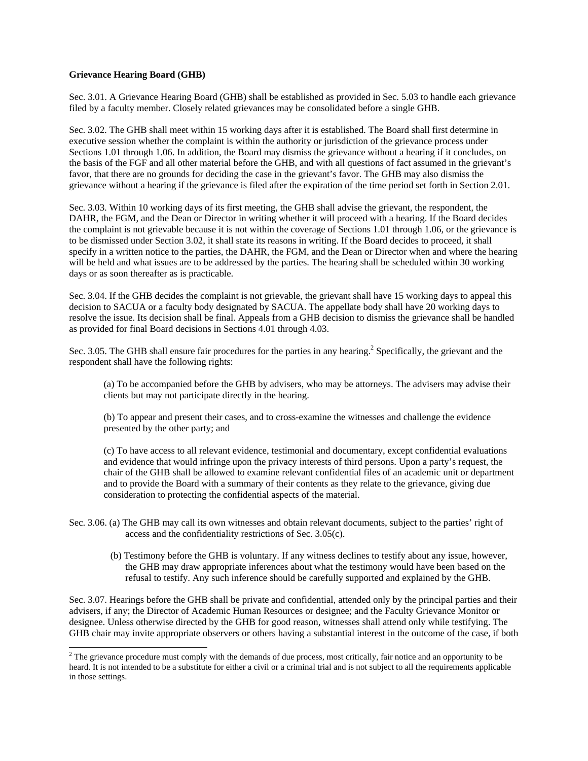#### **Grievance Hearing Board (GHB)**

Sec. 3.01. A Grievance Hearing Board (GHB) shall be established as provided in Sec. 5.03 to handle each grievance filed by a faculty member. Closely related grievances may be consolidated before a single GHB.

Sec. 3.02. The GHB shall meet within 15 working days after it is established. The Board shall first determine in executive session whether the complaint is within the authority or jurisdiction of the grievance process under Sections 1.01 through 1.06. In addition, the Board may dismiss the grievance without a hearing if it concludes, on the basis of the FGF and all other material before the GHB, and with all questions of fact assumed in the grievant's favor, that there are no grounds for deciding the case in the grievant's favor. The GHB may also dismiss the grievance without a hearing if the grievance is filed after the expiration of the time period set forth in Section 2.01.

Sec. 3.03. Within 10 working days of its first meeting, the GHB shall advise the grievant, the respondent, the DAHR, the FGM, and the Dean or Director in writing whether it will proceed with a hearing. If the Board decides the complaint is not grievable because it is not within the coverage of Sections 1.01 through 1.06, or the grievance is to be dismissed under Section 3.02, it shall state its reasons in writing. If the Board decides to proceed, it shall specify in a written notice to the parties, the DAHR, the FGM, and the Dean or Director when and where the hearing will be held and what issues are to be addressed by the parties. The hearing shall be scheduled within 30 working days or as soon thereafter as is practicable.

Sec. 3.04. If the GHB decides the complaint is not grievable, the grievant shall have 15 working days to appeal this decision to SACUA or a faculty body designated by SACUA. The appellate body shall have 20 working days to resolve the issue. Its decision shall be final. Appeals from a GHB decision to dismiss the grievance shall be handled as provided for final Board decisions in Sections 4.01 through 4.03.

Sec. 3.05. The GHB shall ensure fair procedures for the parties in any hearing.<sup>2</sup> Specifically, the grievant and the respondent shall have the following rights:

(a) To be accompanied before the GHB by advisers, who may be attorneys. The advisers may advise their clients but may not participate directly in the hearing.

(b) To appear and present their cases, and to cross-examine the witnesses and challenge the evidence presented by the other party; and

(c) To have access to all relevant evidence, testimonial and documentary, except confidential evaluations and evidence that would infringe upon the privacy interests of third persons. Upon a party's request, the chair of the GHB shall be allowed to examine relevant confidential files of an academic unit or department and to provide the Board with a summary of their contents as they relate to the grievance, giving due consideration to protecting the confidential aspects of the material.

- Sec. 3.06. (a) The GHB may call its own witnesses and obtain relevant documents, subject to the parties' right of access and the confidentiality restrictions of Sec. 3.05(c).
	- (b) Testimony before the GHB is voluntary. If any witness declines to testify about any issue, however, the GHB may draw appropriate inferences about what the testimony would have been based on the refusal to testify. Any such inference should be carefully supported and explained by the GHB.

Sec. 3.07. Hearings before the GHB shall be private and confidential, attended only by the principal parties and their advisers, if any; the Director of Academic Human Resources or designee; and the Faculty Grievance Monitor or designee. Unless otherwise directed by the GHB for good reason, witnesses shall attend only while testifying. The GHB chair may invite appropriate observers or others having a substantial interest in the outcome of the case, if both

The grievance procedure must comply with the demands of due process, most critically, fair notice and an opportunity to be heard. It is not intended to be a substitute for either a civil or a criminal trial and is not subject to all the requirements applicable in those settings.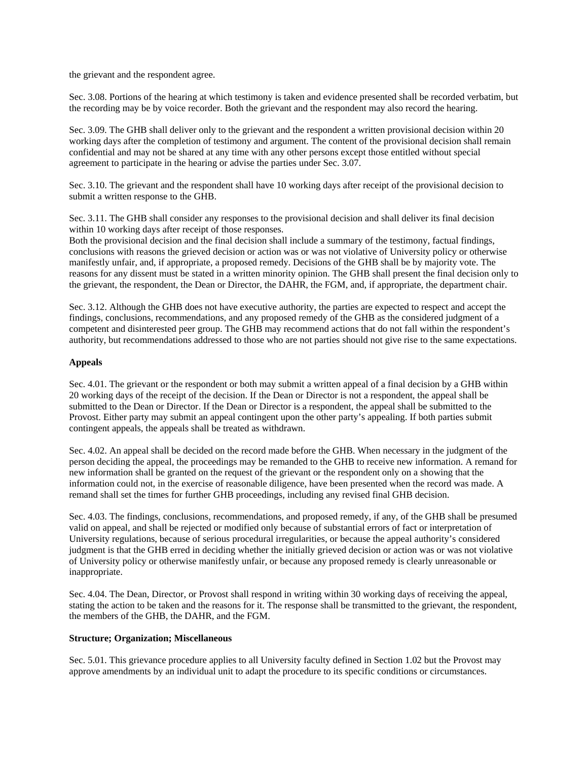the grievant and the respondent agree.

Sec. 3.08. Portions of the hearing at which testimony is taken and evidence presented shall be recorded verbatim, but the recording may be by voice recorder. Both the grievant and the respondent may also record the hearing.

Sec. 3.09. The GHB shall deliver only to the grievant and the respondent a written provisional decision within 20 working days after the completion of testimony and argument. The content of the provisional decision shall remain confidential and may not be shared at any time with any other persons except those entitled without special agreement to participate in the hearing or advise the parties under Sec. 3.07.

Sec. 3.10. The grievant and the respondent shall have 10 working days after receipt of the provisional decision to submit a written response to the GHB.

Sec. 3.11. The GHB shall consider any responses to the provisional decision and shall deliver its final decision within 10 working days after receipt of those responses.

Both the provisional decision and the final decision shall include a summary of the testimony, factual findings, conclusions with reasons the grieved decision or action was or was not violative of University policy or otherwise manifestly unfair, and, if appropriate, a proposed remedy. Decisions of the GHB shall be by majority vote. The reasons for any dissent must be stated in a written minority opinion. The GHB shall present the final decision only to the grievant, the respondent, the Dean or Director, the DAHR, the FGM, and, if appropriate, the department chair.

Sec. 3.12. Although the GHB does not have executive authority, the parties are expected to respect and accept the findings, conclusions, recommendations, and any proposed remedy of the GHB as the considered judgment of a competent and disinterested peer group. The GHB may recommend actions that do not fall within the respondent's authority, but recommendations addressed to those who are not parties should not give rise to the same expectations.

#### **Appeals**

Sec. 4.01. The grievant or the respondent or both may submit a written appeal of a final decision by a GHB within 20 working days of the receipt of the decision. If the Dean or Director is not a respondent, the appeal shall be submitted to the Dean or Director. If the Dean or Director is a respondent, the appeal shall be submitted to the Provost. Either party may submit an appeal contingent upon the other party's appealing. If both parties submit contingent appeals, the appeals shall be treated as withdrawn.

Sec. 4.02. An appeal shall be decided on the record made before the GHB. When necessary in the judgment of the person deciding the appeal, the proceedings may be remanded to the GHB to receive new information. A remand for new information shall be granted on the request of the grievant or the respondent only on a showing that the information could not, in the exercise of reasonable diligence, have been presented when the record was made. A remand shall set the times for further GHB proceedings, including any revised final GHB decision.

Sec. 4.03. The findings, conclusions, recommendations, and proposed remedy, if any, of the GHB shall be presumed valid on appeal, and shall be rejected or modified only because of substantial errors of fact or interpretation of University regulations, because of serious procedural irregularities, or because the appeal authority's considered judgment is that the GHB erred in deciding whether the initially grieved decision or action was or was not violative of University policy or otherwise manifestly unfair, or because any proposed remedy is clearly unreasonable or inappropriate.

Sec. 4.04. The Dean, Director, or Provost shall respond in writing within 30 working days of receiving the appeal, stating the action to be taken and the reasons for it. The response shall be transmitted to the grievant, the respondent, the members of the GHB, the DAHR, and the FGM.

#### **Structure; Organization; Miscellaneous**

Sec. 5.01. This grievance procedure applies to all University faculty defined in Section 1.02 but the Provost may approve amendments by an individual unit to adapt the procedure to its specific conditions or circumstances.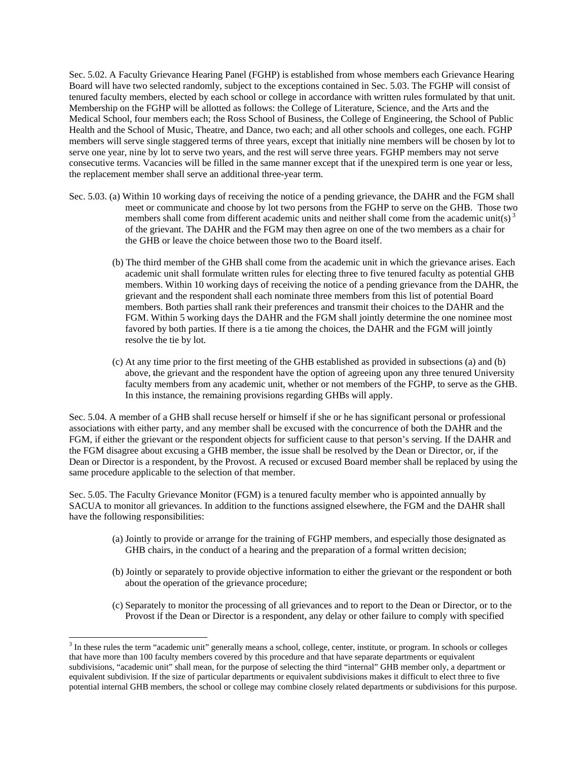Sec. 5.02. A Faculty Grievance Hearing Panel (FGHP) is established from whose members each Grievance Hearing Board will have two selected randomly, subject to the exceptions contained in Sec. 5.03. The FGHP will consist of tenured faculty members, elected by each school or college in accordance with written rules formulated by that unit. Membership on the FGHP will be allotted as follows: the College of Literature, Science, and the Arts and the Medical School, four members each; the Ross School of Business, the College of Engineering, the School of Public Health and the School of Music, Theatre, and Dance, two each; and all other schools and colleges, one each. FGHP members will serve single staggered terms of three years, except that initially nine members will be chosen by lot to serve one year, nine by lot to serve two years, and the rest will serve three years. FGHP members may not serve consecutive terms. Vacancies will be filled in the same manner except that if the unexpired term is one year or less, the replacement member shall serve an additional three-year term.

- Sec. 5.03. (a) Within 10 working days of receiving the notice of a pending grievance, the DAHR and the FGM shall meet or communicate and choose by lot two persons from the FGHP to serve on the GHB. Those two members shall come from different academic units and neither shall come from the academic unit(s)<sup>3</sup> of the grievant. The DAHR and the FGM may then agree on one of the two members as a chair for the GHB or leave the choice between those two to the Board itself.
	- (b) The third member of the GHB shall come from the academic unit in which the grievance arises. Each academic unit shall formulate written rules for electing three to five tenured faculty as potential GHB members. Within 10 working days of receiving the notice of a pending grievance from the DAHR, the grievant and the respondent shall each nominate three members from this list of potential Board members. Both parties shall rank their preferences and transmit their choices to the DAHR and the FGM. Within 5 working days the DAHR and the FGM shall jointly determine the one nominee most favored by both parties. If there is a tie among the choices, the DAHR and the FGM will jointly resolve the tie by lot.
	- (c) At any time prior to the first meeting of the GHB established as provided in subsections (a) and (b) above, the grievant and the respondent have the option of agreeing upon any three tenured University faculty members from any academic unit, whether or not members of the FGHP, to serve as the GHB. In this instance, the remaining provisions regarding GHBs will apply.

Sec. 5.04. A member of a GHB shall recuse herself or himself if she or he has significant personal or professional associations with either party, and any member shall be excused with the concurrence of both the DAHR and the FGM, if either the grievant or the respondent objects for sufficient cause to that person's serving. If the DAHR and the FGM disagree about excusing a GHB member, the issue shall be resolved by the Dean or Director, or, if the Dean or Director is a respondent, by the Provost. A recused or excused Board member shall be replaced by using the same procedure applicable to the selection of that member.

Sec. 5.05. The Faculty Grievance Monitor (FGM) is a tenured faculty member who is appointed annually by SACUA to monitor all grievances. In addition to the functions assigned elsewhere, the FGM and the DAHR shall have the following responsibilities:

- (a) Jointly to provide or arrange for the training of FGHP members, and especially those designated as GHB chairs, in the conduct of a hearing and the preparation of a formal written decision;
- (b) Jointly or separately to provide objective information to either the grievant or the respondent or both about the operation of the grievance procedure;
- (c) Separately to monitor the processing of all grievances and to report to the Dean or Director, or to the Provost if the Dean or Director is a respondent, any delay or other failure to comply with specified

-

<sup>&</sup>lt;sup>3</sup> In these rules the term "academic unit" generally means a school, college, center, institute, or program. In schools or colleges that have more than 100 faculty members covered by this procedure and that have separate departments or equivalent subdivisions, "academic unit" shall mean, for the purpose of selecting the third "internal" GHB member only, a department or equivalent subdivision. If the size of particular departments or equivalent subdivisions makes it difficult to elect three to five potential internal GHB members, the school or college may combine closely related departments or subdivisions for this purpose.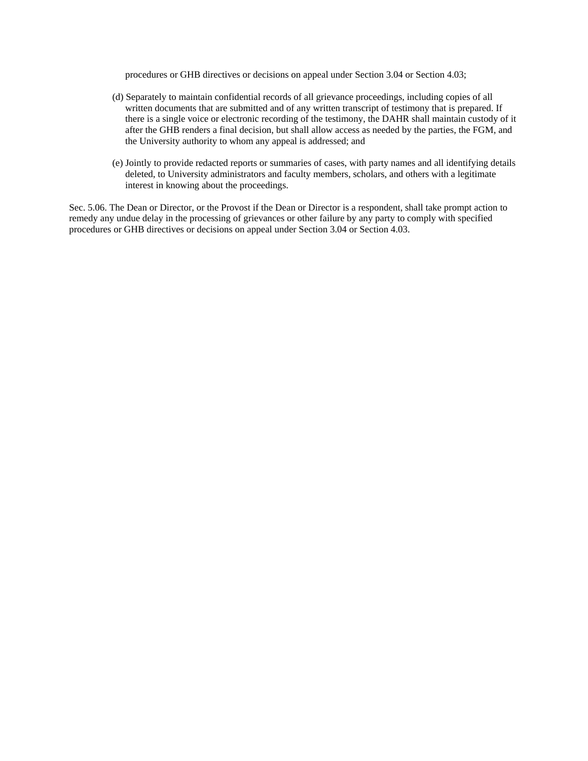procedures or GHB directives or decisions on appeal under Section 3.04 or Section 4.03;

- (d) Separately to maintain confidential records of all grievance proceedings, including copies of all written documents that are submitted and of any written transcript of testimony that is prepared. If there is a single voice or electronic recording of the testimony, the DAHR shall maintain custody of it after the GHB renders a final decision, but shall allow access as needed by the parties, the FGM, and the University authority to whom any appeal is addressed; and
- (e) Jointly to provide redacted reports or summaries of cases, with party names and all identifying details deleted, to University administrators and faculty members, scholars, and others with a legitimate interest in knowing about the proceedings.

Sec. 5.06. The Dean or Director, or the Provost if the Dean or Director is a respondent, shall take prompt action to remedy any undue delay in the processing of grievances or other failure by any party to comply with specified procedures or GHB directives or decisions on appeal under Section 3.04 or Section 4.03.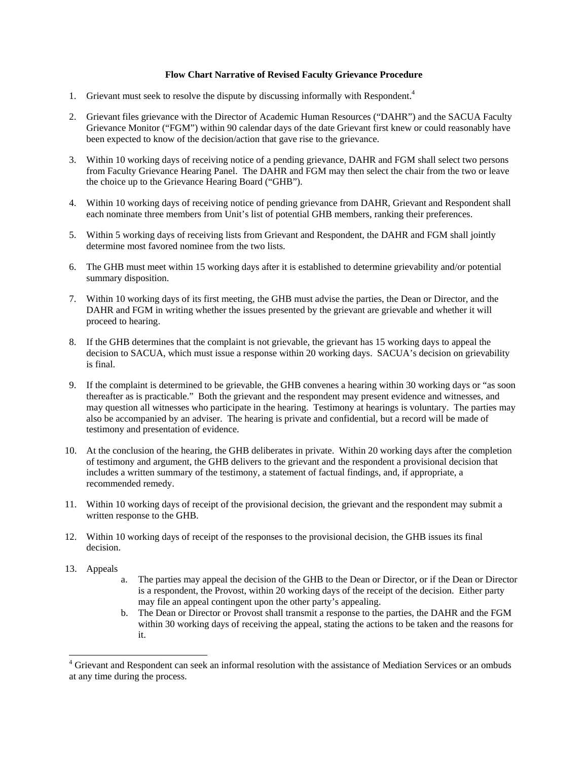#### **Flow Chart Narrative of Revised Faculty Grievance Procedure**

- 1. Grievant must seek to resolve the dispute by discussing informally with Respondent.<sup>4</sup>
- 2. Grievant files grievance with the Director of Academic Human Resources ("DAHR") and the SACUA Faculty Grievance Monitor ("FGM") within 90 calendar days of the date Grievant first knew or could reasonably have been expected to know of the decision/action that gave rise to the grievance.
- 3. Within 10 working days of receiving notice of a pending grievance, DAHR and FGM shall select two persons from Faculty Grievance Hearing Panel. The DAHR and FGM may then select the chair from the two or leave the choice up to the Grievance Hearing Board ("GHB").
- 4. Within 10 working days of receiving notice of pending grievance from DAHR, Grievant and Respondent shall each nominate three members from Unit's list of potential GHB members, ranking their preferences.
- 5. Within 5 working days of receiving lists from Grievant and Respondent, the DAHR and FGM shall jointly determine most favored nominee from the two lists.
- 6. The GHB must meet within 15 working days after it is established to determine grievability and/or potential summary disposition.
- 7. Within 10 working days of its first meeting, the GHB must advise the parties, the Dean or Director, and the DAHR and FGM in writing whether the issues presented by the grievant are grievable and whether it will proceed to hearing.
- 8. If the GHB determines that the complaint is not grievable, the grievant has 15 working days to appeal the decision to SACUA, which must issue a response within 20 working days. SACUA's decision on grievability is final.
- 9. If the complaint is determined to be grievable, the GHB convenes a hearing within 30 working days or "as soon thereafter as is practicable." Both the grievant and the respondent may present evidence and witnesses, and may question all witnesses who participate in the hearing. Testimony at hearings is voluntary. The parties may also be accompanied by an adviser. The hearing is private and confidential, but a record will be made of testimony and presentation of evidence.
- 10. At the conclusion of the hearing, the GHB deliberates in private. Within 20 working days after the completion of testimony and argument, the GHB delivers to the grievant and the respondent a provisional decision that includes a written summary of the testimony, a statement of factual findings, and, if appropriate, a recommended remedy.
- 11. Within 10 working days of receipt of the provisional decision, the grievant and the respondent may submit a written response to the GHB.
- 12. Within 10 working days of receipt of the responses to the provisional decision, the GHB issues its final decision.
- 13. Appeals

-

- a. The parties may appeal the decision of the GHB to the Dean or Director, or if the Dean or Director is a respondent, the Provost, within 20 working days of the receipt of the decision. Either party may file an appeal contingent upon the other party's appealing.
- b. The Dean or Director or Provost shall transmit a response to the parties, the DAHR and the FGM within 30 working days of receiving the appeal, stating the actions to be taken and the reasons for it.

<sup>&</sup>lt;sup>4</sup> Grievant and Respondent can seek an informal resolution with the assistance of Mediation Services or an ombuds at any time during the process.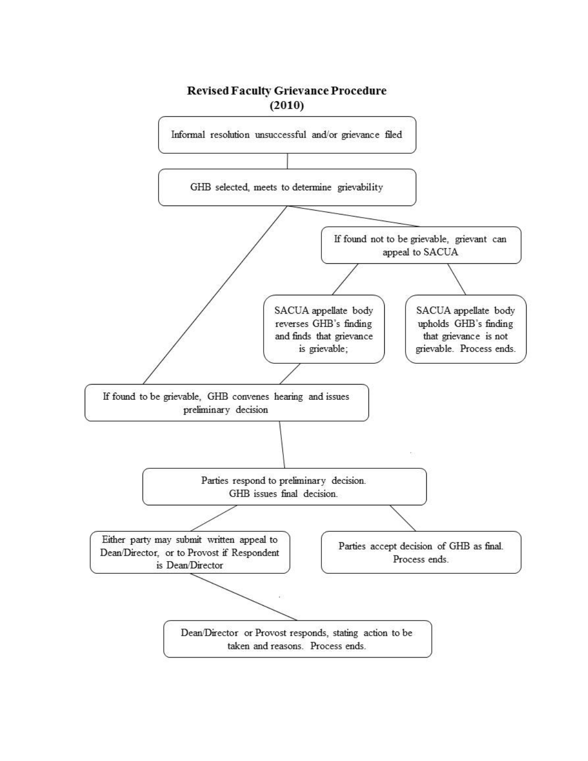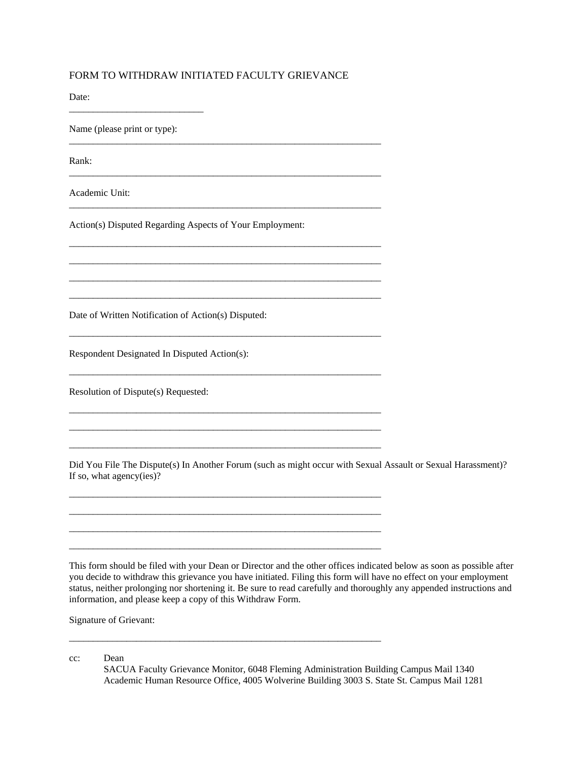# FORM TO WITHDRAW INITIATED FACULTY GRIEVANCE

\_\_\_\_\_\_\_\_\_\_\_\_\_\_\_\_\_\_\_\_\_\_\_\_\_\_\_\_\_\_\_\_\_\_\_\_\_\_\_\_\_\_\_\_\_\_\_\_\_\_\_\_\_\_\_\_\_\_\_\_\_\_\_\_\_

\_\_\_\_\_\_\_\_\_\_\_\_\_\_\_\_\_\_\_\_\_\_\_\_\_\_\_\_\_\_\_\_\_\_\_\_\_\_\_\_\_\_\_\_\_\_\_\_\_\_\_\_\_\_\_\_\_\_\_\_\_\_\_\_\_

\_\_\_\_\_\_\_\_\_\_\_\_\_\_\_\_\_\_\_\_\_\_\_\_\_\_\_\_\_\_\_\_\_\_\_\_\_\_\_\_\_\_\_\_\_\_\_\_\_\_\_\_\_\_\_\_\_\_\_\_\_\_\_\_\_

\_\_\_\_\_\_\_\_\_\_\_\_\_\_\_\_\_\_\_\_\_\_\_\_\_\_\_\_\_\_\_\_\_\_\_\_\_\_\_\_\_\_\_\_\_\_\_\_\_\_\_\_\_\_\_\_\_\_\_\_\_\_\_\_\_ \_\_\_\_\_\_\_\_\_\_\_\_\_\_\_\_\_\_\_\_\_\_\_\_\_\_\_\_\_\_\_\_\_\_\_\_\_\_\_\_\_\_\_\_\_\_\_\_\_\_\_\_\_\_\_\_\_\_\_\_\_\_\_\_\_ \_\_\_\_\_\_\_\_\_\_\_\_\_\_\_\_\_\_\_\_\_\_\_\_\_\_\_\_\_\_\_\_\_\_\_\_\_\_\_\_\_\_\_\_\_\_\_\_\_\_\_\_\_\_\_\_\_\_\_\_\_\_\_\_\_ \_\_\_\_\_\_\_\_\_\_\_\_\_\_\_\_\_\_\_\_\_\_\_\_\_\_\_\_\_\_\_\_\_\_\_\_\_\_\_\_\_\_\_\_\_\_\_\_\_\_\_\_\_\_\_\_\_\_\_\_\_\_\_\_\_

\_\_\_\_\_\_\_\_\_\_\_\_\_\_\_\_\_\_\_\_\_\_\_\_\_\_\_\_\_\_\_\_\_\_\_\_\_\_\_\_\_\_\_\_\_\_\_\_\_\_\_\_\_\_\_\_\_\_\_\_\_\_\_\_\_

\_\_\_\_\_\_\_\_\_\_\_\_\_\_\_\_\_\_\_\_\_\_\_\_\_\_\_\_\_\_\_\_\_\_\_\_\_\_\_\_\_\_\_\_\_\_\_\_\_\_\_\_\_\_\_\_\_\_\_\_\_\_\_\_\_

\_\_\_\_\_\_\_\_\_\_\_\_\_\_\_\_\_\_\_\_\_\_\_\_\_\_\_\_\_\_\_\_\_\_\_\_\_\_\_\_\_\_\_\_\_\_\_\_\_\_\_\_\_\_\_\_\_\_\_\_\_\_\_\_\_ \_\_\_\_\_\_\_\_\_\_\_\_\_\_\_\_\_\_\_\_\_\_\_\_\_\_\_\_\_\_\_\_\_\_\_\_\_\_\_\_\_\_\_\_\_\_\_\_\_\_\_\_\_\_\_\_\_\_\_\_\_\_\_\_\_ \_\_\_\_\_\_\_\_\_\_\_\_\_\_\_\_\_\_\_\_\_\_\_\_\_\_\_\_\_\_\_\_\_\_\_\_\_\_\_\_\_\_\_\_\_\_\_\_\_\_\_\_\_\_\_\_\_\_\_\_\_\_\_\_\_

\_\_\_\_\_\_\_\_\_\_\_\_\_\_\_\_\_\_\_\_\_\_\_\_\_\_\_\_\_\_\_\_\_\_\_\_\_\_\_\_\_\_\_\_\_\_\_\_\_\_\_\_\_\_\_\_\_\_\_\_\_\_\_\_\_ \_\_\_\_\_\_\_\_\_\_\_\_\_\_\_\_\_\_\_\_\_\_\_\_\_\_\_\_\_\_\_\_\_\_\_\_\_\_\_\_\_\_\_\_\_\_\_\_\_\_\_\_\_\_\_\_\_\_\_\_\_\_\_\_\_ \_\_\_\_\_\_\_\_\_\_\_\_\_\_\_\_\_\_\_\_\_\_\_\_\_\_\_\_\_\_\_\_\_\_\_\_\_\_\_\_\_\_\_\_\_\_\_\_\_\_\_\_\_\_\_\_\_\_\_\_\_\_\_\_\_ \_\_\_\_\_\_\_\_\_\_\_\_\_\_\_\_\_\_\_\_\_\_\_\_\_\_\_\_\_\_\_\_\_\_\_\_\_\_\_\_\_\_\_\_\_\_\_\_\_\_\_\_\_\_\_\_\_\_\_\_\_\_\_\_\_

\_\_\_\_\_\_\_\_\_\_\_\_\_\_\_\_\_\_\_\_\_\_\_\_\_\_\_\_\_\_\_\_\_\_\_\_\_\_\_\_\_\_\_\_\_\_\_\_\_\_\_\_\_\_\_\_\_\_\_\_\_\_\_\_\_

Date:

Name (please print or type):

\_\_\_\_\_\_\_\_\_\_\_\_\_\_\_\_\_\_\_\_\_\_\_\_\_\_\_\_

Rank:

Academic Unit:

Action(s) Disputed Regarding Aspects of Your Employment:

Date of Written Notification of Action(s) Disputed:

Respondent Designated In Disputed Action(s):

Resolution of Dispute(s) Requested:

Did You File The Dispute(s) In Another Forum (such as might occur with Sexual Assault or Sexual Harassment)? If so, what agency(ies)?

This form should be filed with your Dean or Director and the other offices indicated below as soon as possible after you decide to withdraw this grievance you have initiated. Filing this form will have no effect on your employment status, neither prolonging nor shortening it. Be sure to read carefully and thoroughly any appended instructions and information, and please keep a copy of this Withdraw Form.

Signature of Grievant:

cc: Dean

 SACUA Faculty Grievance Monitor, 6048 Fleming Administration Building Campus Mail 1340 Academic Human Resource Office, 4005 Wolverine Building 3003 S. State St. Campus Mail 1281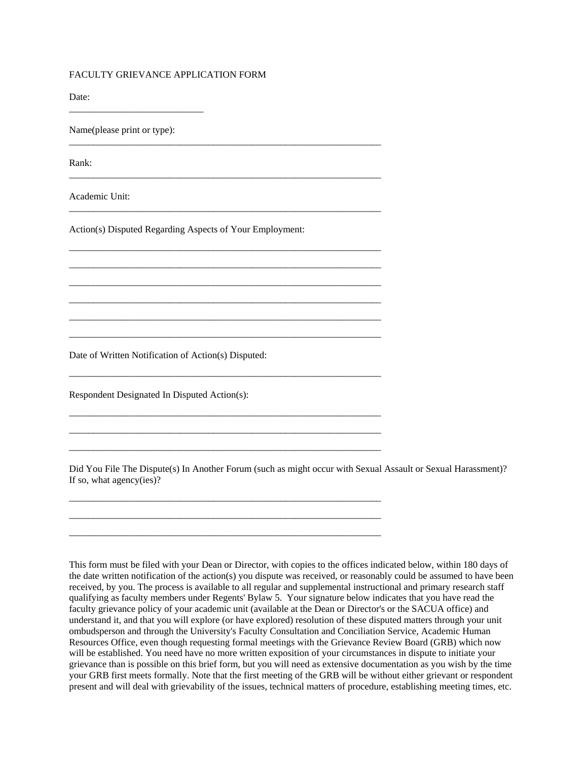# FACULTY GRIEVANCE APPLICATION FORM

Date:

Name(please print or type):

\_\_\_\_\_\_\_\_\_\_\_\_\_\_\_\_\_\_\_\_\_\_\_\_\_\_\_\_

Rank:

Academic Unit:

Action(s) Disputed Regarding Aspects of Your Employment:

\_\_\_\_\_\_\_\_\_\_\_\_\_\_\_\_\_\_\_\_\_\_\_\_\_\_\_\_\_\_\_\_\_\_\_\_\_\_\_\_\_\_\_\_\_\_\_\_\_\_\_\_\_\_\_\_\_\_\_\_\_\_\_\_\_

\_\_\_\_\_\_\_\_\_\_\_\_\_\_\_\_\_\_\_\_\_\_\_\_\_\_\_\_\_\_\_\_\_\_\_\_\_\_\_\_\_\_\_\_\_\_\_\_\_\_\_\_\_\_\_\_\_\_\_\_\_\_\_\_\_

\_\_\_\_\_\_\_\_\_\_\_\_\_\_\_\_\_\_\_\_\_\_\_\_\_\_\_\_\_\_\_\_\_\_\_\_\_\_\_\_\_\_\_\_\_\_\_\_\_\_\_\_\_\_\_\_\_\_\_\_\_\_\_\_\_

\_\_\_\_\_\_\_\_\_\_\_\_\_\_\_\_\_\_\_\_\_\_\_\_\_\_\_\_\_\_\_\_\_\_\_\_\_\_\_\_\_\_\_\_\_\_\_\_\_\_\_\_\_\_\_\_\_\_\_\_\_\_\_\_\_ \_\_\_\_\_\_\_\_\_\_\_\_\_\_\_\_\_\_\_\_\_\_\_\_\_\_\_\_\_\_\_\_\_\_\_\_\_\_\_\_\_\_\_\_\_\_\_\_\_\_\_\_\_\_\_\_\_\_\_\_\_\_\_\_\_ \_\_\_\_\_\_\_\_\_\_\_\_\_\_\_\_\_\_\_\_\_\_\_\_\_\_\_\_\_\_\_\_\_\_\_\_\_\_\_\_\_\_\_\_\_\_\_\_\_\_\_\_\_\_\_\_\_\_\_\_\_\_\_\_\_ \_\_\_\_\_\_\_\_\_\_\_\_\_\_\_\_\_\_\_\_\_\_\_\_\_\_\_\_\_\_\_\_\_\_\_\_\_\_\_\_\_\_\_\_\_\_\_\_\_\_\_\_\_\_\_\_\_\_\_\_\_\_\_\_\_ \_\_\_\_\_\_\_\_\_\_\_\_\_\_\_\_\_\_\_\_\_\_\_\_\_\_\_\_\_\_\_\_\_\_\_\_\_\_\_\_\_\_\_\_\_\_\_\_\_\_\_\_\_\_\_\_\_\_\_\_\_\_\_\_\_ \_\_\_\_\_\_\_\_\_\_\_\_\_\_\_\_\_\_\_\_\_\_\_\_\_\_\_\_\_\_\_\_\_\_\_\_\_\_\_\_\_\_\_\_\_\_\_\_\_\_\_\_\_\_\_\_\_\_\_\_\_\_\_\_\_

\_\_\_\_\_\_\_\_\_\_\_\_\_\_\_\_\_\_\_\_\_\_\_\_\_\_\_\_\_\_\_\_\_\_\_\_\_\_\_\_\_\_\_\_\_\_\_\_\_\_\_\_\_\_\_\_\_\_\_\_\_\_\_\_\_

\_\_\_\_\_\_\_\_\_\_\_\_\_\_\_\_\_\_\_\_\_\_\_\_\_\_\_\_\_\_\_\_\_\_\_\_\_\_\_\_\_\_\_\_\_\_\_\_\_\_\_\_\_\_\_\_\_\_\_\_\_\_\_\_\_ \_\_\_\_\_\_\_\_\_\_\_\_\_\_\_\_\_\_\_\_\_\_\_\_\_\_\_\_\_\_\_\_\_\_\_\_\_\_\_\_\_\_\_\_\_\_\_\_\_\_\_\_\_\_\_\_\_\_\_\_\_\_\_\_\_ \_\_\_\_\_\_\_\_\_\_\_\_\_\_\_\_\_\_\_\_\_\_\_\_\_\_\_\_\_\_\_\_\_\_\_\_\_\_\_\_\_\_\_\_\_\_\_\_\_\_\_\_\_\_\_\_\_\_\_\_\_\_\_\_\_

\_\_\_\_\_\_\_\_\_\_\_\_\_\_\_\_\_\_\_\_\_\_\_\_\_\_\_\_\_\_\_\_\_\_\_\_\_\_\_\_\_\_\_\_\_\_\_\_\_\_\_\_\_\_\_\_\_\_\_\_\_\_\_\_\_ \_\_\_\_\_\_\_\_\_\_\_\_\_\_\_\_\_\_\_\_\_\_\_\_\_\_\_\_\_\_\_\_\_\_\_\_\_\_\_\_\_\_\_\_\_\_\_\_\_\_\_\_\_\_\_\_\_\_\_\_\_\_\_\_\_ \_\_\_\_\_\_\_\_\_\_\_\_\_\_\_\_\_\_\_\_\_\_\_\_\_\_\_\_\_\_\_\_\_\_\_\_\_\_\_\_\_\_\_\_\_\_\_\_\_\_\_\_\_\_\_\_\_\_\_\_\_\_\_\_\_

Date of Written Notification of Action(s) Disputed:

Respondent Designated In Disputed Action(s):

Did You File The Dispute(s) In Another Forum (such as might occur with Sexual Assault or Sexual Harassment)? If so, what agency(ies)?

This form must be filed with your Dean or Director, with copies to the offices indicated below, within 180 days of the date written notification of the action(s) you dispute was received, or reasonably could be assumed to have been received, by you. The process is available to all regular and supplemental instructional and primary research staff qualifying as faculty members under Regents' Bylaw 5. Your signature below indicates that you have read the faculty grievance policy of your academic unit (available at the Dean or Director's or the SACUA office) and understand it, and that you will explore (or have explored) resolution of these disputed matters through your unit ombudsperson and through the University's Faculty Consultation and Conciliation Service, Academic Human Resources Office, even though requesting formal meetings with the Grievance Review Board (GRB) which now will be established. You need have no more written exposition of your circumstances in dispute to initiate your grievance than is possible on this brief form, but you will need as extensive documentation as you wish by the time your GRB first meets formally. Note that the first meeting of the GRB will be without either grievant or respondent present and will deal with grievability of the issues, technical matters of procedure, establishing meeting times, etc.